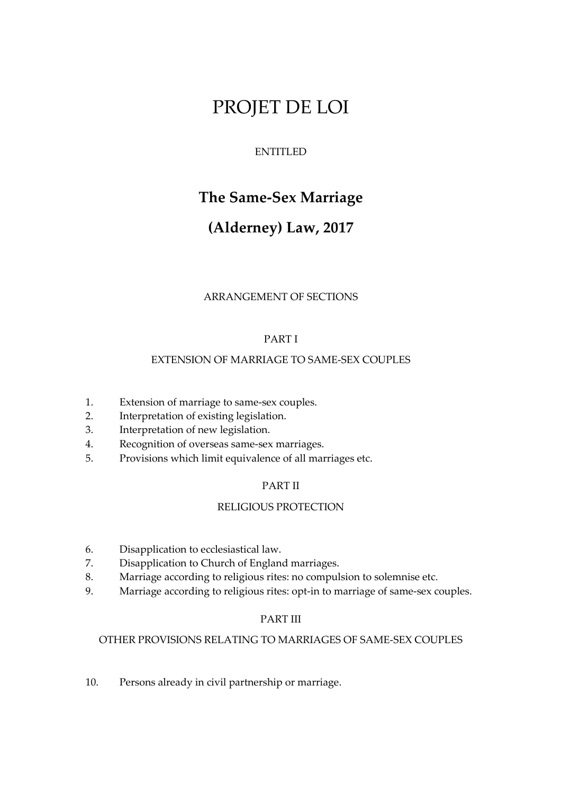# PROJET DE LOI

# ENTITLED

# **The Same-Sex Marriage**

# **(Alderney) Law, 2017**

# ARRANGEMENT OF SECTIONS

# PART I

# EXTENSION OF MARRIAGE TO SAME-SEX COUPLES

- 1. Extension of marriage to same-sex couples.
- 2. Interpretation of existing legislation.
- 3. Interpretation of new legislation.
- 4. Recognition of overseas same-sex marriages.
- 5. Provisions which limit equivalence of all marriages etc.

# PART II

# RELIGIOUS PROTECTION

- 6. Disapplication to ecclesiastical law.
- 7. Disapplication to Church of England marriages.
- 8. Marriage according to religious rites: no compulsion to solemnise etc.
- 9. Marriage according to religious rites: opt-in to marriage of same-sex couples.

# PART III

# OTHER PROVISIONS RELATING TO MARRIAGES OF SAME-SEX COUPLES

10. Persons already in civil partnership or marriage.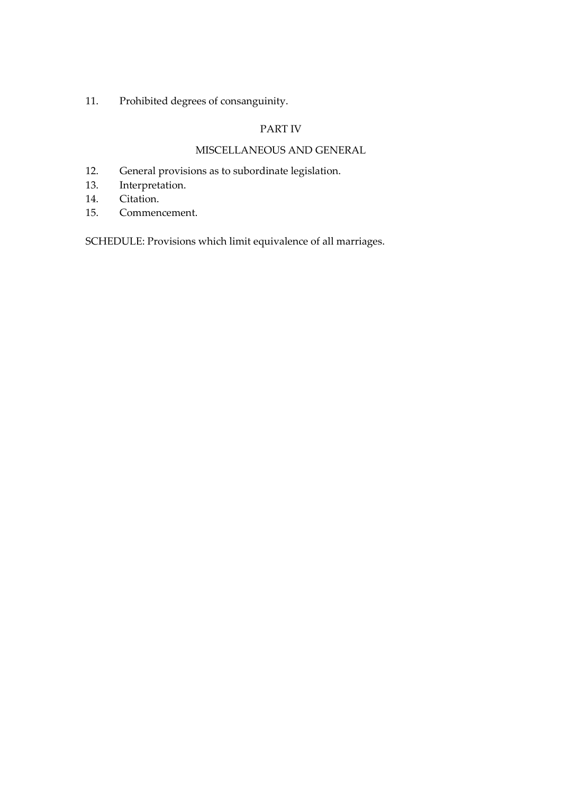11. Prohibited degrees of consanguinity.

# PART IV

# MISCELLANEOUS AND GENERAL

- 12. General provisions as to subordinate legislation.
- 13. Interpretation.
- 14. Citation.
- 15. Commencement.

SCHEDULE: Provisions which limit equivalence of all marriages.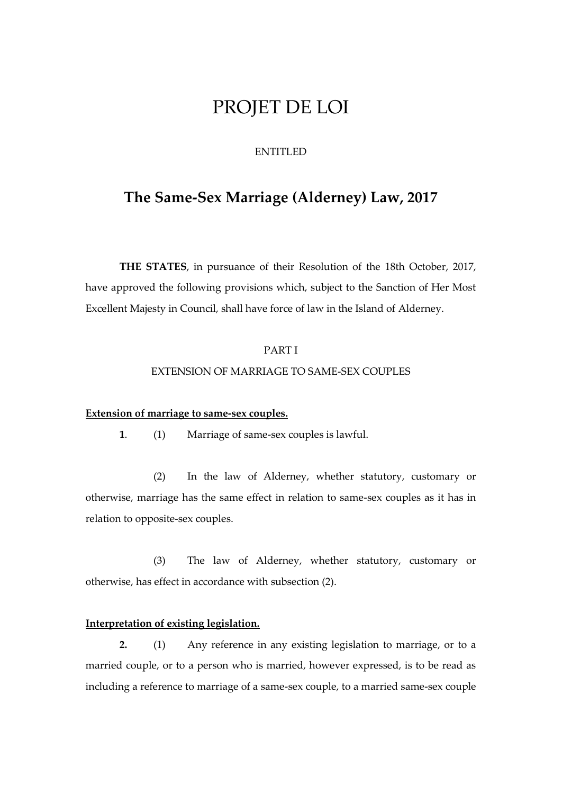# PROJET DE LOI

# ENTITLED

# **The Same-Sex Marriage (Alderney) Law, 2017**

**THE STATES**, in pursuance of their Resolution of the 18th October, 2017, have approved the following provisions which, subject to the Sanction of Her Most Excellent Majesty in Council, shall have force of law in the Island of Alderney.

# PART I

#### EXTENSION OF MARRIAGE TO SAME-SEX COUPLES

# **Extension of marriage to same-sex couples.**

**1**. (1) Marriage of same-sex couples is lawful.

(2) In the law of Alderney, whether statutory, customary or otherwise, marriage has the same effect in relation to same-sex couples as it has in relation to opposite-sex couples.

(3) The law of Alderney, whether statutory, customary or otherwise, has effect in accordance with subsection (2).

#### **Interpretation of existing legislation.**

**2.** (1) Any reference in any existing legislation to marriage, or to a married couple, or to a person who is married, however expressed, is to be read as including a reference to marriage of a same-sex couple, to a married same-sex couple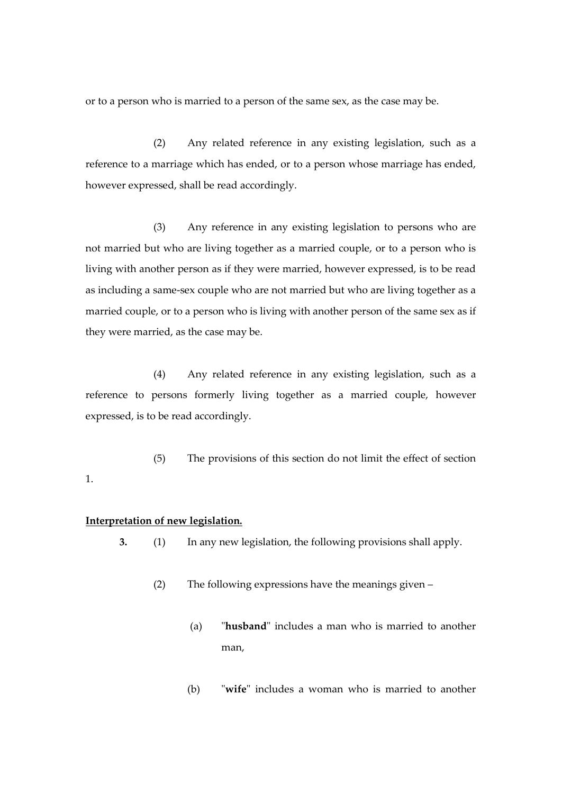or to a person who is married to a person of the same sex, as the case may be.

(2) Any related reference in any existing legislation, such as a reference to a marriage which has ended, or to a person whose marriage has ended, however expressed, shall be read accordingly.

(3) Any reference in any existing legislation to persons who are not married but who are living together as a married couple, or to a person who is living with another person as if they were married, however expressed, is to be read as including a same-sex couple who are not married but who are living together as a married couple, or to a person who is living with another person of the same sex as if they were married, as the case may be.

(4) Any related reference in any existing legislation, such as a reference to persons formerly living together as a married couple, however expressed, is to be read accordingly.

(5) The provisions of this section do not limit the effect of section

#### **Interpretation of new legislation.**

1.

- **3.** (1) In any new legislation, the following provisions shall apply.
	- (2) The following expressions have the meanings given
		- (a) "**husband**" includes a man who is married to another man,
		- (b) "**wife**" includes a woman who is married to another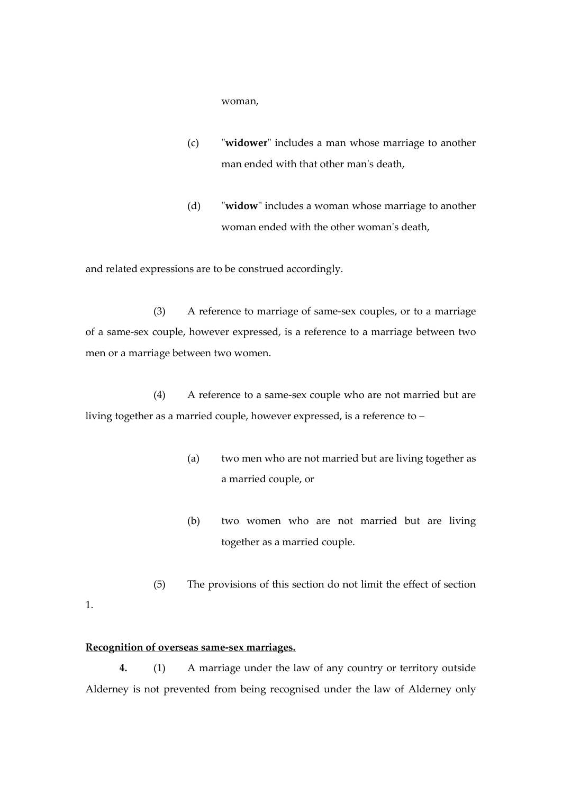woman,

- (c) "**widower**" includes a man whose marriage to another man ended with that other man's death,
- (d) "**widow**" includes a woman whose marriage to another woman ended with the other woman's death,

and related expressions are to be construed accordingly.

(3) A reference to marriage of same-sex couples, or to a marriage of a same-sex couple, however expressed, is a reference to a marriage between two men or a marriage between two women.

(4) A reference to a same-sex couple who are not married but are living together as a married couple, however expressed, is a reference to –

- (a) two men who are not married but are living together as a married couple, or
- (b) two women who are not married but are living together as a married couple.
- (5) The provisions of this section do not limit the effect of section

#### **Recognition of overseas same-sex marriages.**

1.

**4.** (1) A marriage under the law of any country or territory outside Alderney is not prevented from being recognised under the law of Alderney only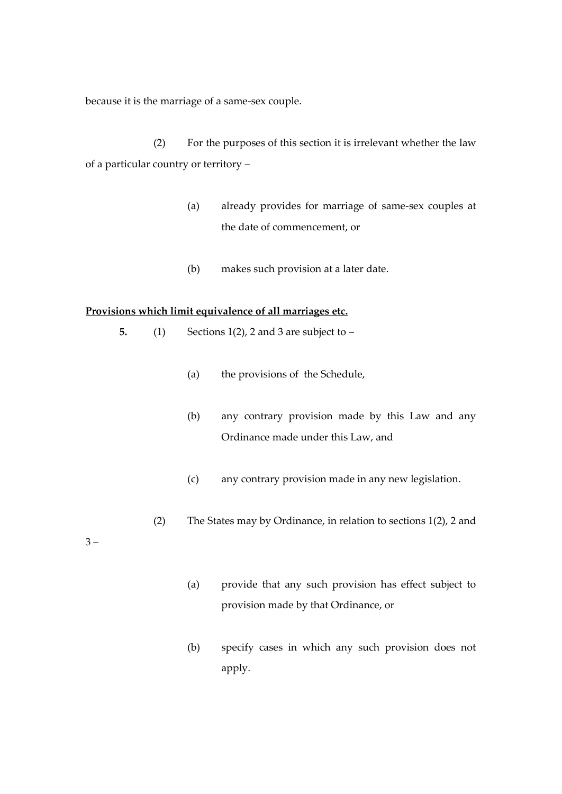because it is the marriage of a same-sex couple.

(2) For the purposes of this section it is irrelevant whether the law of a particular country or territory –

- (a) already provides for marriage of same-sex couples at the date of commencement, or
- (b) makes such provision at a later date.

#### **Provisions which limit equivalence of all marriages etc.**

- **5.** (1) Sections 1(2), 2 and 3 are subject to
	- (a) the provisions of the Schedule,
	- (b) any contrary provision made by this Law and any Ordinance made under this Law, and
	- (c) any contrary provision made in any new legislation.
	- (2) The States may by Ordinance, in relation to sections 1(2), 2 and

 $3 -$ 

- (a) provide that any such provision has effect subject to provision made by that Ordinance, or
- (b) specify cases in which any such provision does not apply.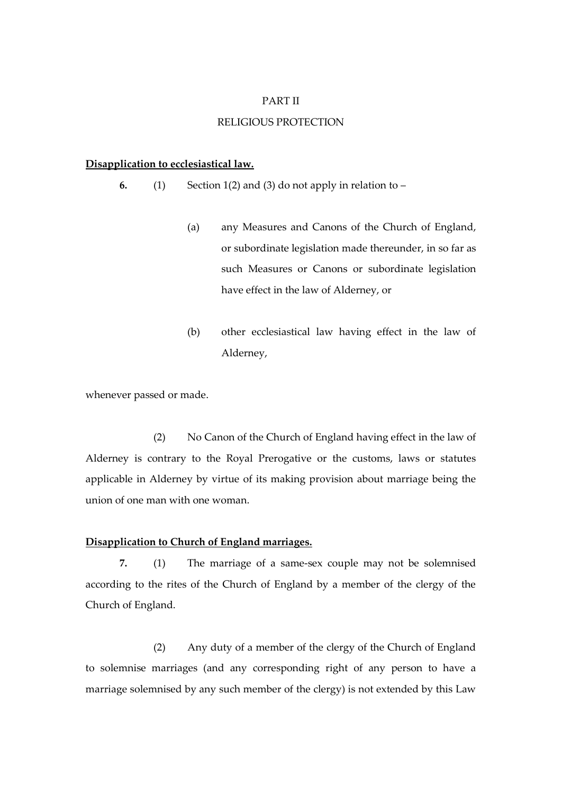#### PART II

#### RELIGIOUS PROTECTION

#### **Disapplication to ecclesiastical law.**

**6.** (1) Section 1(2) and (3) do not apply in relation to –

- (a) any Measures and Canons of the Church of England, or subordinate legislation made thereunder, in so far as such Measures or Canons or subordinate legislation have effect in the law of Alderney, or
- (b) other ecclesiastical law having effect in the law of Alderney,

whenever passed or made.

(2) No Canon of the Church of England having effect in the law of Alderney is contrary to the Royal Prerogative or the customs, laws or statutes applicable in Alderney by virtue of its making provision about marriage being the union of one man with one woman.

## **Disapplication to Church of England marriages.**

**7.** (1) The marriage of a same-sex couple may not be solemnised according to the rites of the Church of England by a member of the clergy of the Church of England.

(2) Any duty of a member of the clergy of the Church of England to solemnise marriages (and any corresponding right of any person to have a marriage solemnised by any such member of the clergy) is not extended by this Law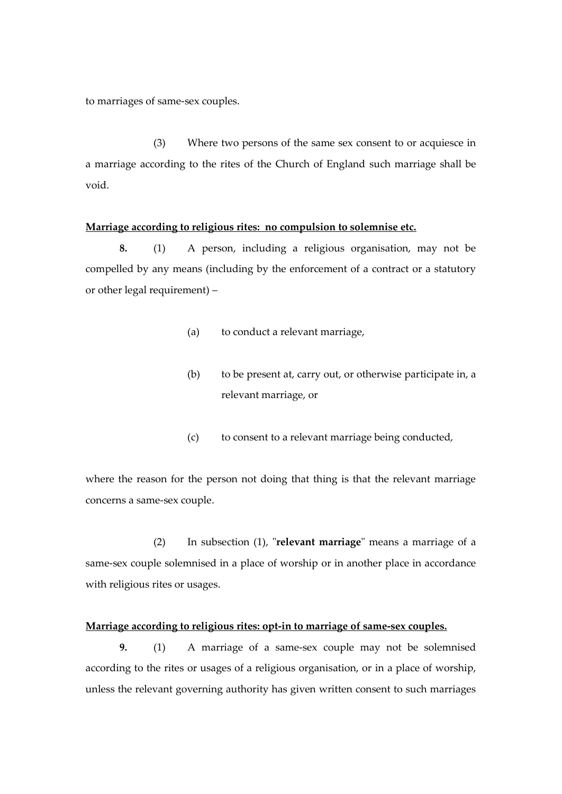to marriages of same-sex couples.

(3) Where two persons of the same sex consent to or acquiesce in a marriage according to the rites of the Church of England such marriage shall be void.

#### **Marriage according to religious rites: no compulsion to solemnise etc.**

**8.** (1) A person, including a religious organisation, may not be compelled by any means (including by the enforcement of a contract or a statutory or other legal requirement) –

- (a) to conduct a relevant marriage,
- (b) to be present at, carry out, or otherwise participate in, a relevant marriage, or
- (c) to consent to a relevant marriage being conducted,

where the reason for the person not doing that thing is that the relevant marriage concerns a same-sex couple.

(2) In subsection (1), "**relevant marriage**" means a marriage of a same-sex couple solemnised in a place of worship or in another place in accordance with religious rites or usages.

### **Marriage according to religious rites: opt-in to marriage of same-sex couples.**

**9.** (1) A marriage of a same-sex couple may not be solemnised according to the rites or usages of a religious organisation, or in a place of worship, unless the relevant governing authority has given written consent to such marriages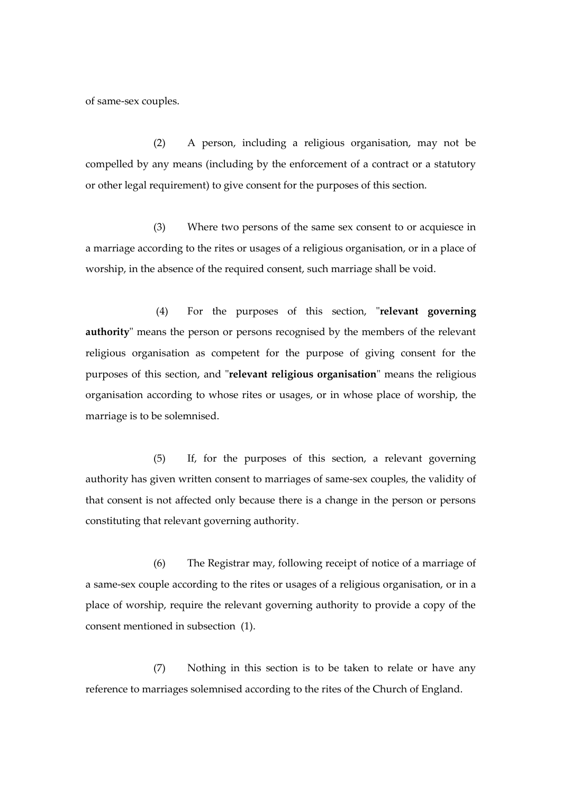of same-sex couples.

(2) A person, including a religious organisation, may not be compelled by any means (including by the enforcement of a contract or a statutory or other legal requirement) to give consent for the purposes of this section.

(3) Where two persons of the same sex consent to or acquiesce in a marriage according to the rites or usages of a religious organisation, or in a place of worship, in the absence of the required consent, such marriage shall be void.

(4) For the purposes of this section, "**relevant governing authority**" means the person or persons recognised by the members of the relevant religious organisation as competent for the purpose of giving consent for the purposes of this section, and "**relevant religious organisation**" means the religious organisation according to whose rites or usages, or in whose place of worship, the marriage is to be solemnised.

(5) If, for the purposes of this section, a relevant governing authority has given written consent to marriages of same-sex couples, the validity of that consent is not affected only because there is a change in the person or persons constituting that relevant governing authority.

(6) The Registrar may, following receipt of notice of a marriage of a same-sex couple according to the rites or usages of a religious organisation, or in a place of worship, require the relevant governing authority to provide a copy of the consent mentioned in subsection (1).

(7) Nothing in this section is to be taken to relate or have any reference to marriages solemnised according to the rites of the Church of England.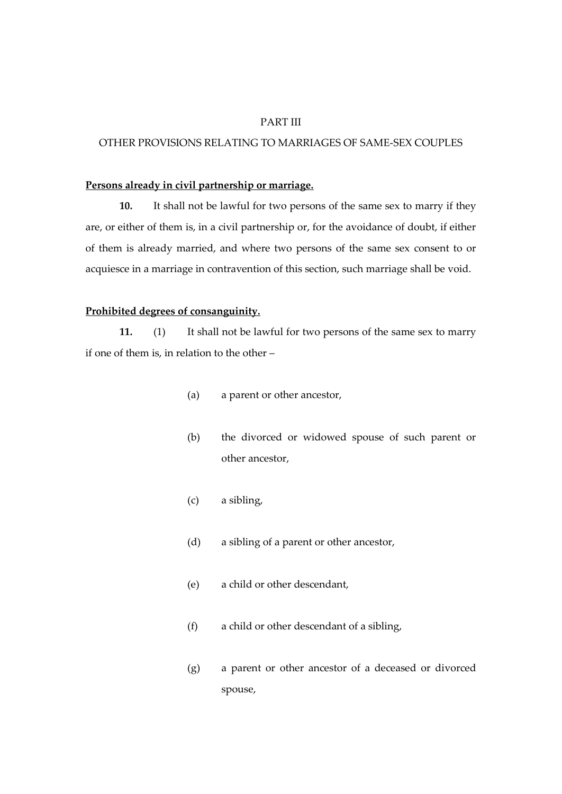#### PART III

# OTHER PROVISIONS RELATING TO MARRIAGES OF SAME-SEX COUPLES

### **Persons already in civil partnership or marriage.**

**10.** It shall not be lawful for two persons of the same sex to marry if they are, or either of them is, in a civil partnership or, for the avoidance of doubt, if either of them is already married, and where two persons of the same sex consent to or acquiesce in a marriage in contravention of this section, such marriage shall be void.

#### **Prohibited degrees of consanguinity.**

**11.** (1) It shall not be lawful for two persons of the same sex to marry if one of them is, in relation to the other –

- (a) a parent or other ancestor,
- (b) the divorced or widowed spouse of such parent or other ancestor,
- (c) a sibling,
- (d) a sibling of a parent or other ancestor,
- (e) a child or other descendant,
- (f) a child or other descendant of a sibling,
- (g) a parent or other ancestor of a deceased or divorced spouse,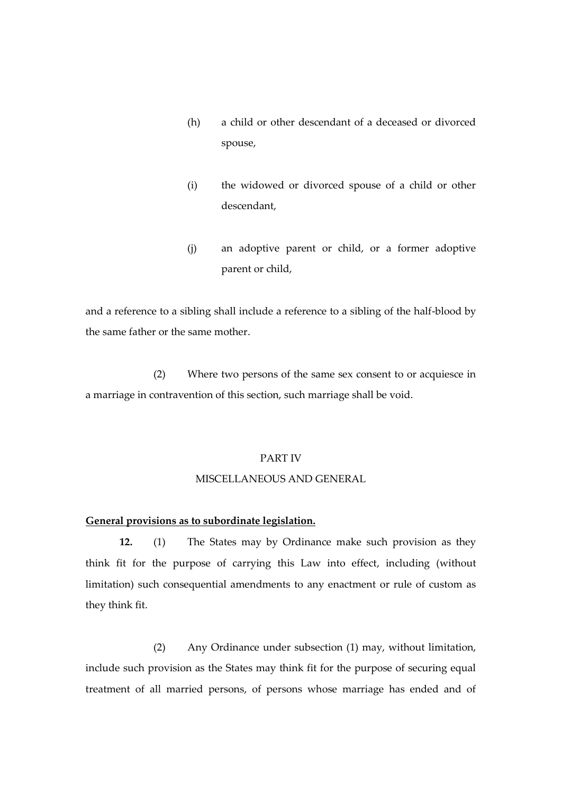- (h) a child or other descendant of a deceased or divorced spouse,
- (i) the widowed or divorced spouse of a child or other descendant,
- (j) an adoptive parent or child, or a former adoptive parent or child,

and a reference to a sibling shall include a reference to a sibling of the half-blood by the same father or the same mother.

(2) Where two persons of the same sex consent to or acquiesce in a marriage in contravention of this section, such marriage shall be void.

#### PART IV

#### MISCELLANEOUS AND GENERAL

#### **General provisions as to subordinate legislation.**

**12.** (1) The States may by Ordinance make such provision as they think fit for the purpose of carrying this Law into effect, including (without limitation) such consequential amendments to any enactment or rule of custom as they think fit.

(2) Any Ordinance under subsection (1) may, without limitation, include such provision as the States may think fit for the purpose of securing equal treatment of all married persons, of persons whose marriage has ended and of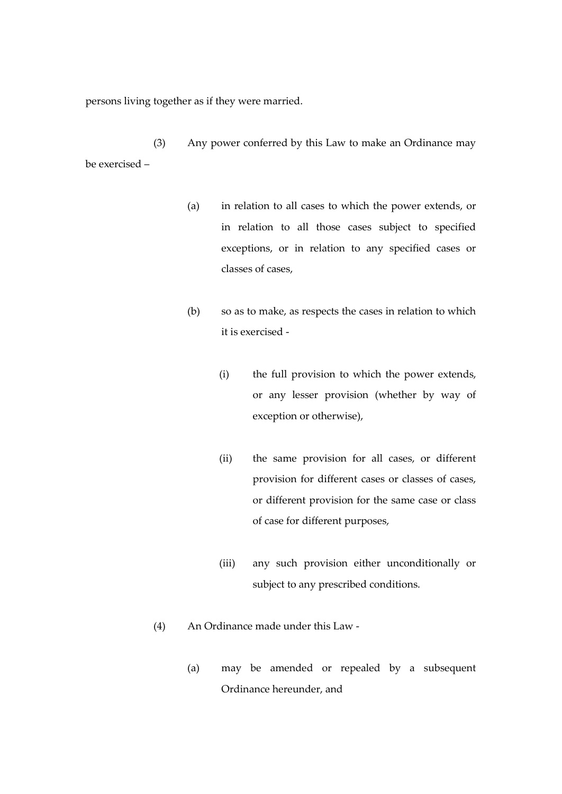persons living together as if they were married.

(3) Any power conferred by this Law to make an Ordinance may be exercised –

- (a) in relation to all cases to which the power extends, or in relation to all those cases subject to specified exceptions, or in relation to any specified cases or classes of cases,
- (b) so as to make, as respects the cases in relation to which it is exercised -
	- (i) the full provision to which the power extends, or any lesser provision (whether by way of exception or otherwise),
	- (ii) the same provision for all cases, or different provision for different cases or classes of cases, or different provision for the same case or class of case for different purposes,
	- (iii) any such provision either unconditionally or subject to any prescribed conditions.
- (4) An Ordinance made under this Law
	- (a) may be amended or repealed by a subsequent Ordinance hereunder, and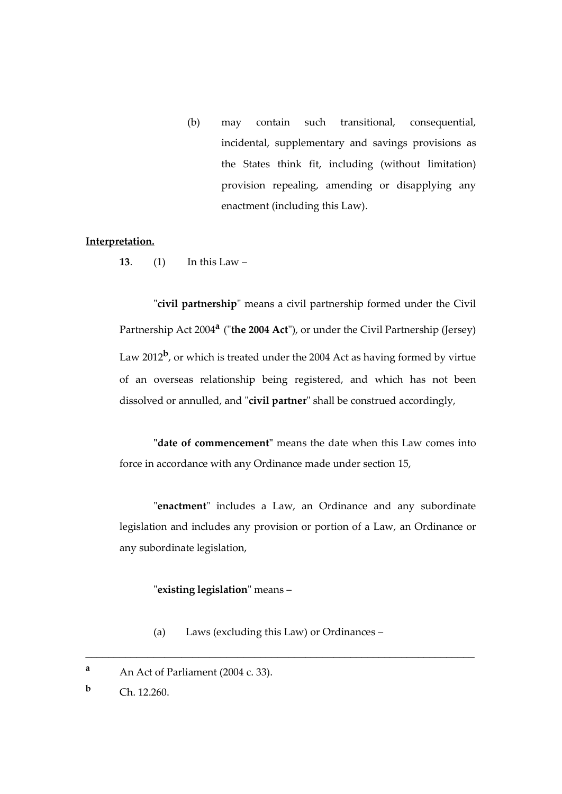(b) may contain such transitional, consequential, incidental, supplementary and savings provisions as the States think fit, including (without limitation) provision repealing, amending or disapplying any enactment (including this Law).

#### **Interpretation.**

**13**. (1) In this Law –

"**civil partnership**" means a civil partnership formed under the Civil Partnership Act 2004**<sup>a</sup>** ("**the 2004 Act**"), or under the Civil Partnership (Jersey) Law 2012**<sup>b</sup>** , or which is treated under the 2004 Act as having formed by virtue of an overseas relationship being registered, and which has not been dissolved or annulled, and "**civil partner**" shall be construed accordingly,

**"date of commencement"** means the date when this Law comes into force in accordance with any Ordinance made under section 15,

"**enactment**" includes a Law, an Ordinance and any subordinate legislation and includes any provision or portion of a Law, an Ordinance or any subordinate legislation,

# "**existing legislation**" means –

(a) Laws (excluding this Law) or Ordinances –

\_\_\_\_\_\_\_\_\_\_\_\_\_\_\_\_\_\_\_\_\_\_\_\_\_\_\_\_\_\_\_\_\_\_\_\_\_\_\_\_\_\_\_\_\_\_\_\_\_\_\_\_\_\_\_\_\_\_\_\_\_\_\_\_\_\_\_\_\_

**<sup>a</sup>** An Act of Parliament (2004 c. 33).

**Ch. 12.260.**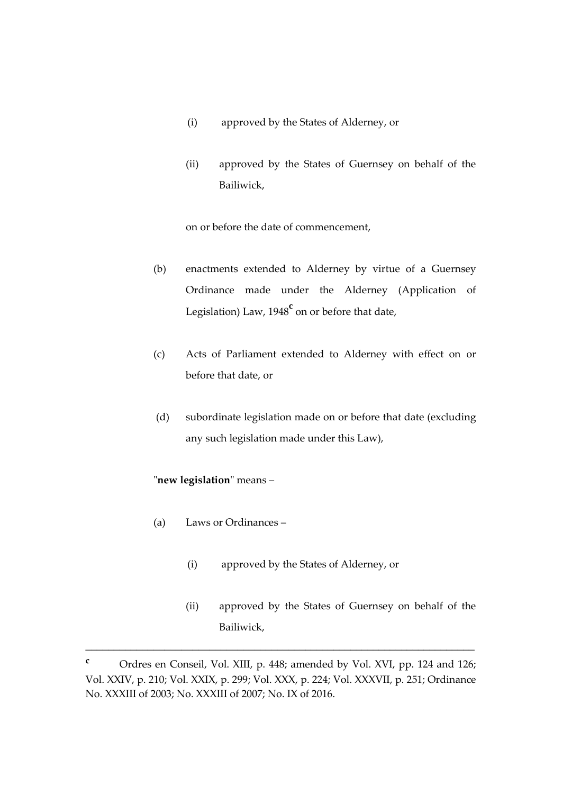- (i) approved by the States of Alderney, or
- (ii) approved by the States of Guernsey on behalf of the Bailiwick,

on or before the date of commencement,

- (b) enactments extended to Alderney by virtue of a Guernsey Ordinance made under the Alderney (Application of Legislation) Law, 1948**<sup>c</sup>** on or before that date,
- (c) Acts of Parliament extended to Alderney with effect on or before that date, or
- (d) subordinate legislation made on or before that date (excluding any such legislation made under this Law),

# "**new legislation**" means –

- (a) Laws or Ordinances
	- (i) approved by the States of Alderney, or
	- (ii) approved by the States of Guernsey on behalf of the Bailiwick,

\_\_\_\_\_\_\_\_\_\_\_\_\_\_\_\_\_\_\_\_\_\_\_\_\_\_\_\_\_\_\_\_\_\_\_\_\_\_\_\_\_\_\_\_\_\_\_\_\_\_\_\_\_\_\_\_\_\_\_\_\_\_\_\_\_\_\_\_\_

**<sup>c</sup>** Ordres en Conseil, Vol. XIII, p. 448; amended by Vol. XVI, pp. 124 and 126; Vol. XXIV, p. 210; Vol. XXIX, p. 299; Vol. XXX, p. 224; Vol. XXXVII, p. 251; Ordinance No. XXXIII of 2003; No. XXXIII of 2007; No. IX of 2016.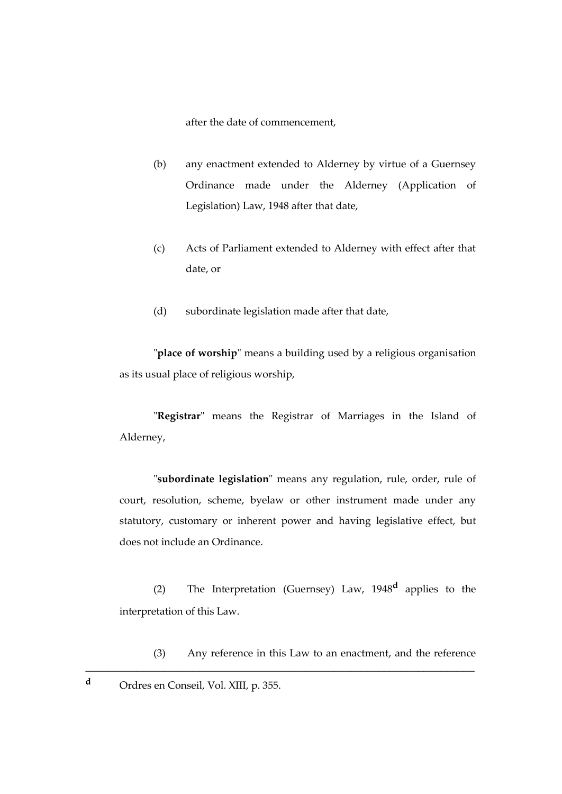after the date of commencement,

- (b) any enactment extended to Alderney by virtue of a Guernsey Ordinance made under the Alderney (Application of Legislation) Law, 1948 after that date,
- (c) Acts of Parliament extended to Alderney with effect after that date, or
- (d) subordinate legislation made after that date,

"**place of worship**" means a building used by a religious organisation as its usual place of religious worship,

"**Registrar**" means the Registrar of Marriages in the Island of Alderney,

"**subordinate legislation**" means any regulation, rule, order, rule of court, resolution, scheme, byelaw or other instrument made under any statutory, customary or inherent power and having legislative effect, but does not include an Ordinance.

(2) The Interpretation (Guernsey) Law, 1948**<sup>d</sup>** applies to the interpretation of this Law.

\_\_\_\_\_\_\_\_\_\_\_\_\_\_\_\_\_\_\_\_\_\_\_\_\_\_\_\_\_\_\_\_\_\_\_\_\_\_\_\_\_\_\_\_\_\_\_\_\_\_\_\_\_\_\_\_\_\_\_\_\_\_\_\_\_\_\_\_\_

(3) Any reference in this Law to an enactment, and the reference

**<sup>d</sup>** Ordres en Conseil, Vol. XIII, p. 355.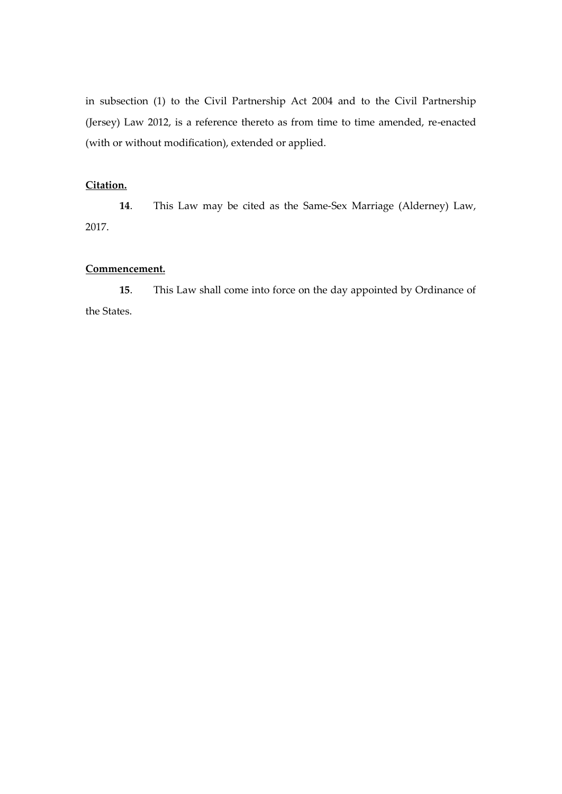in subsection (1) to the Civil Partnership Act 2004 and to the Civil Partnership (Jersey) Law 2012, is a reference thereto as from time to time amended, re-enacted (with or without modification), extended or applied.

# **Citation.**

**14**. This Law may be cited as the Same-Sex Marriage (Alderney) Law, 2017.

#### **Commencement.**

**15**. This Law shall come into force on the day appointed by Ordinance of the States.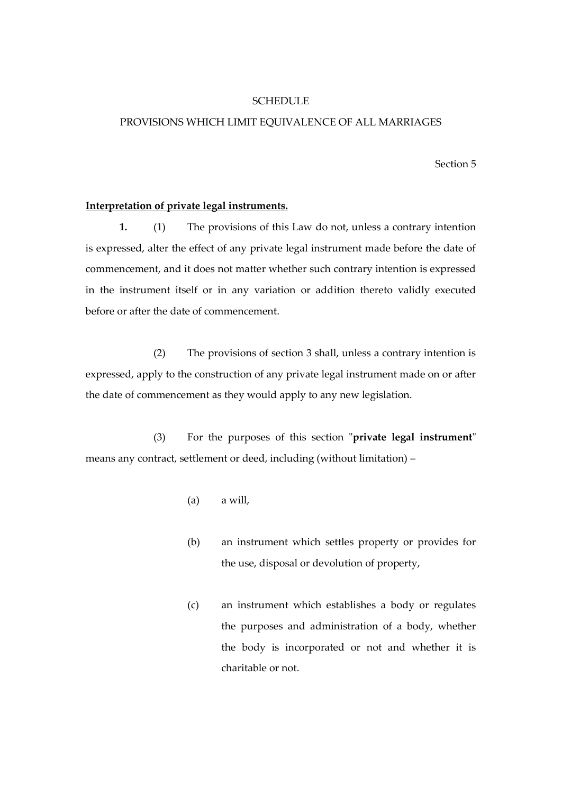#### **SCHEDULE**

#### PROVISIONS WHICH LIMIT EQUIVALENCE OF ALL MARRIAGES

Section 5

#### **Interpretation of private legal instruments.**

**1.** (1) The provisions of this Law do not, unless a contrary intention is expressed, alter the effect of any private legal instrument made before the date of commencement, and it does not matter whether such contrary intention is expressed in the instrument itself or in any variation or addition thereto validly executed before or after the date of commencement.

(2) The provisions of section 3 shall, unless a contrary intention is expressed, apply to the construction of any private legal instrument made on or after the date of commencement as they would apply to any new legislation.

(3) For the purposes of this section "**private legal instrument**" means any contract, settlement or deed, including (without limitation) –

- (a) a will,
- (b) an instrument which settles property or provides for the use, disposal or devolution of property,
- (c) an instrument which establishes a body or regulates the purposes and administration of a body, whether the body is incorporated or not and whether it is charitable or not.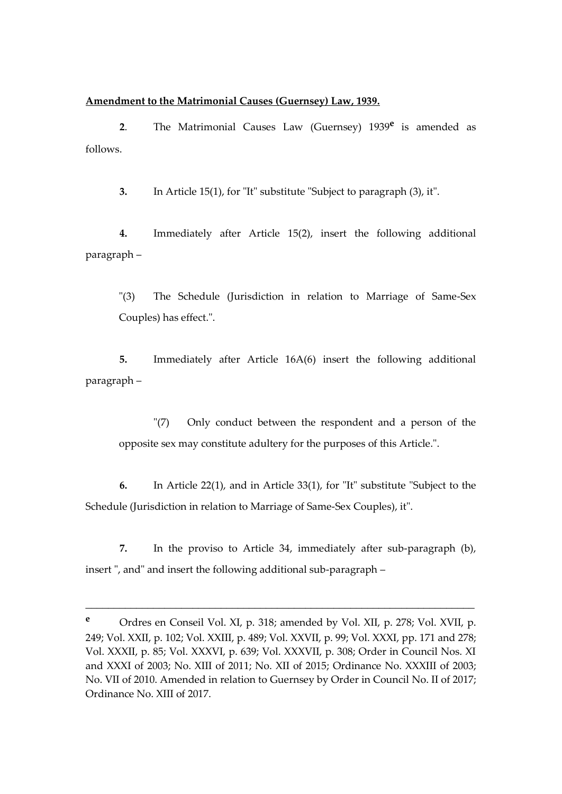#### **Amendment to the Matrimonial Causes (Guernsey) Law, 1939.**

**2**. The Matrimonial Causes Law (Guernsey) 1939**<sup>e</sup>** is amended as follows.

**3.** In Article 15(1), for "It" substitute "Subject to paragraph (3), it".

**4.** Immediately after Article 15(2), insert the following additional paragraph –

"(3) The Schedule (Jurisdiction in relation to Marriage of Same-Sex Couples) has effect.".

**5.** Immediately after Article 16A(6) insert the following additional paragraph –

"(7) Only conduct between the respondent and a person of the opposite sex may constitute adultery for the purposes of this Article.".

**6.** In Article 22(1), and in Article 33(1), for "It" substitute "Subject to the Schedule (Jurisdiction in relation to Marriage of Same-Sex Couples), it".

**7.** In the proviso to Article 34, immediately after sub-paragraph (b), insert ", and" and insert the following additional sub-paragraph –

\_\_\_\_\_\_\_\_\_\_\_\_\_\_\_\_\_\_\_\_\_\_\_\_\_\_\_\_\_\_\_\_\_\_\_\_\_\_\_\_\_\_\_\_\_\_\_\_\_\_\_\_\_\_\_\_\_\_\_\_\_\_\_\_\_\_\_\_\_

**<sup>e</sup>** Ordres en Conseil Vol. XI, p. 318; amended by Vol. XII, p. 278; Vol. XVII, p. 249; Vol. XXII, p. 102; Vol. XXIII, p. 489; Vol. XXVII, p. 99; Vol. XXXI, pp. 171 and 278; Vol. XXXII, p. 85; Vol. XXXVI, p. 639; Vol. XXXVII, p. 308; Order in Council Nos. XI and XXXI of 2003; No. XIII of 2011; No. XII of 2015; Ordinance No. XXXIII of 2003; No. VII of 2010. Amended in relation to Guernsey by Order in Council No. II of 2017; Ordinance No. XIII of 2017.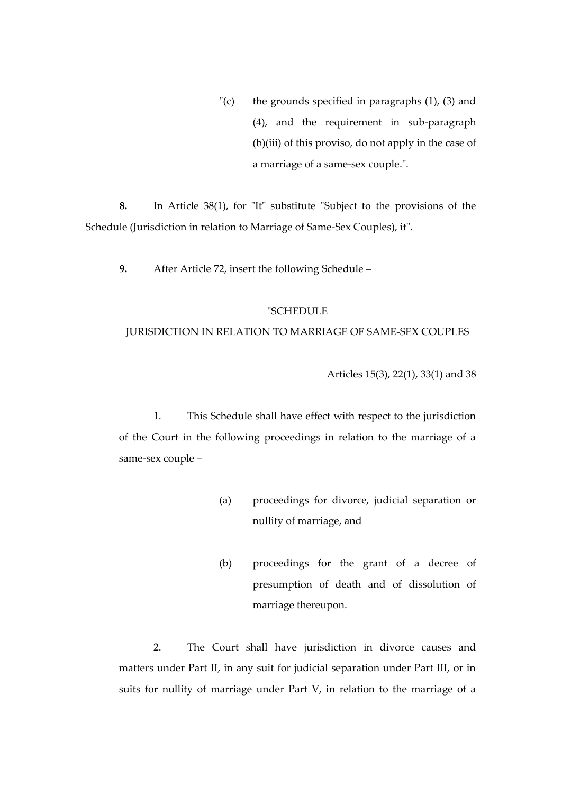$\Gamma$ (c) the grounds specified in paragraphs (1), (3) and (4), and the requirement in sub-paragraph (b)(iii) of this proviso, do not apply in the case of a marriage of a same-sex couple.".

**8.** In Article 38(1), for "It" substitute "Subject to the provisions of the Schedule (Jurisdiction in relation to Marriage of Same-Sex Couples), it".

**9.** After Article 72, insert the following Schedule –

#### "SCHEDULE

#### JURISDICTION IN RELATION TO MARRIAGE OF SAME-SEX COUPLES

Articles 15(3), 22(1), 33(1) and 38

1. This Schedule shall have effect with respect to the jurisdiction of the Court in the following proceedings in relation to the marriage of a same-sex couple –

- (a) proceedings for divorce, judicial separation or nullity of marriage, and
- (b) proceedings for the grant of a decree of presumption of death and of dissolution of marriage thereupon.

2. The Court shall have jurisdiction in divorce causes and matters under Part II, in any suit for judicial separation under Part III, or in suits for nullity of marriage under Part V, in relation to the marriage of a